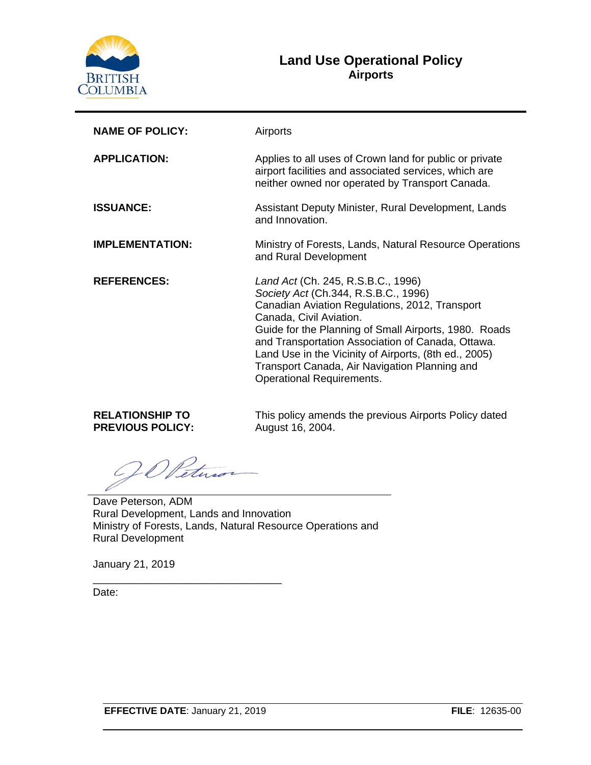

### **Land Use Operational Policy Airports**

| <b>NAME OF POLICY:</b> | Airports                                                                                                                                                                                                                                                                                                                                                                                                            |  |  |  |
|------------------------|---------------------------------------------------------------------------------------------------------------------------------------------------------------------------------------------------------------------------------------------------------------------------------------------------------------------------------------------------------------------------------------------------------------------|--|--|--|
| <b>APPLICATION:</b>    | Applies to all uses of Crown land for public or private<br>airport facilities and associated services, which are<br>neither owned nor operated by Transport Canada.                                                                                                                                                                                                                                                 |  |  |  |
| <b>ISSUANCE:</b>       | Assistant Deputy Minister, Rural Development, Lands<br>and Innovation.                                                                                                                                                                                                                                                                                                                                              |  |  |  |
| <b>IMPLEMENTATION:</b> | Ministry of Forests, Lands, Natural Resource Operations<br>and Rural Development                                                                                                                                                                                                                                                                                                                                    |  |  |  |
| <b>REFERENCES:</b>     | Land Act (Ch. 245, R.S.B.C., 1996)<br>Society Act (Ch.344, R.S.B.C., 1996)<br>Canadian Aviation Regulations, 2012, Transport<br>Canada, Civil Aviation.<br>Guide for the Planning of Small Airports, 1980. Roads<br>and Transportation Association of Canada, Ottawa.<br>Land Use in the Vicinity of Airports, (8th ed., 2005)<br>Transport Canada, Air Navigation Planning and<br><b>Operational Requirements.</b> |  |  |  |

**RELATIONSHIP TO PREVIOUS POLICY:** This policy amends the previous Airports Policy dated August 16, 2004.

Ietu

Dave Peterson, ADM Rural Development, Lands and Innovation Ministry of Forests, Lands, Natural Resource Operations and Rural Development

January 21, 2019

Date:

\_\_\_\_\_\_\_\_\_\_\_\_\_\_\_\_\_\_\_\_\_\_\_\_\_\_\_\_\_\_\_\_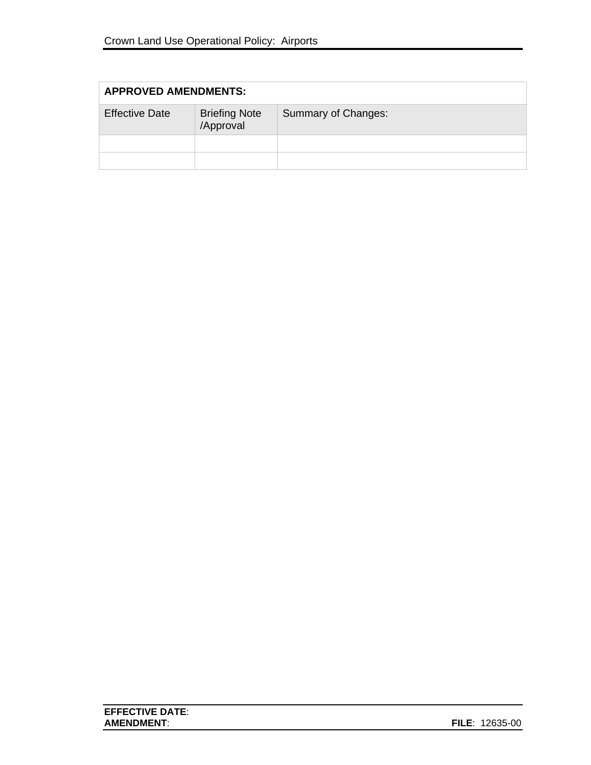| <b>APPROVED AMENDMENTS:</b> |                                   |                     |  |
|-----------------------------|-----------------------------------|---------------------|--|
| <b>Effective Date</b>       | <b>Briefing Note</b><br>/Approval | Summary of Changes: |  |
|                             |                                   |                     |  |
|                             |                                   |                     |  |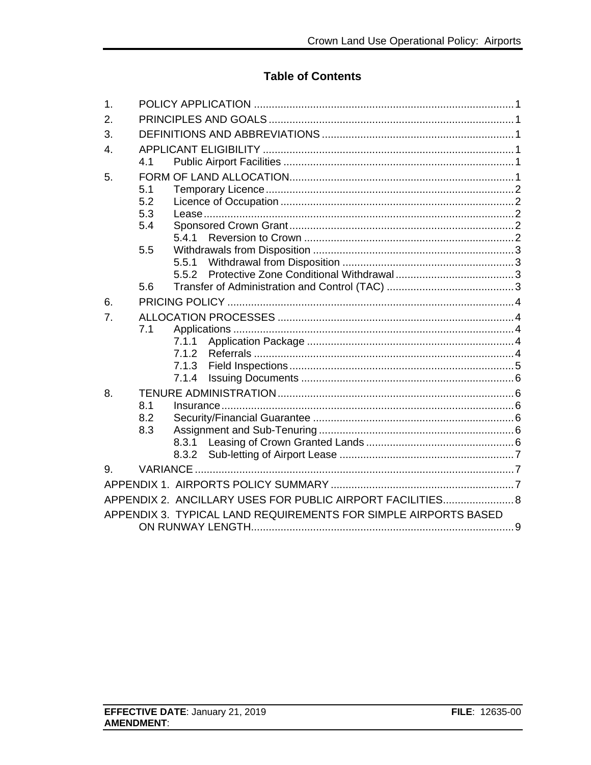## **Table of Contents**

| 1.               |                                                                 |                                                            |  |  |
|------------------|-----------------------------------------------------------------|------------------------------------------------------------|--|--|
| 2.               |                                                                 |                                                            |  |  |
| 3.               |                                                                 |                                                            |  |  |
| $\overline{4}$ . |                                                                 |                                                            |  |  |
|                  | 4.1                                                             |                                                            |  |  |
| 5.               |                                                                 |                                                            |  |  |
|                  | 5.1                                                             |                                                            |  |  |
|                  | 5.2                                                             |                                                            |  |  |
|                  | 5.3                                                             |                                                            |  |  |
|                  | 5.4                                                             |                                                            |  |  |
|                  |                                                                 | 541                                                        |  |  |
|                  | 5.5                                                             |                                                            |  |  |
|                  |                                                                 | 5.5.1                                                      |  |  |
|                  |                                                                 | 5.5.2                                                      |  |  |
|                  | 5.6                                                             |                                                            |  |  |
| 6.               |                                                                 |                                                            |  |  |
| 7.               |                                                                 |                                                            |  |  |
|                  | 7.1                                                             |                                                            |  |  |
|                  |                                                                 | 7.1.1                                                      |  |  |
|                  |                                                                 | 7.1.2                                                      |  |  |
|                  |                                                                 | 7.1.3                                                      |  |  |
|                  |                                                                 | 7.1.4                                                      |  |  |
| 8.               |                                                                 |                                                            |  |  |
|                  | 8.1                                                             |                                                            |  |  |
|                  | 8.2                                                             |                                                            |  |  |
|                  | 8.3                                                             |                                                            |  |  |
|                  |                                                                 |                                                            |  |  |
|                  |                                                                 | 8.3.2                                                      |  |  |
| 9.               | VARIANCE.                                                       |                                                            |  |  |
|                  |                                                                 |                                                            |  |  |
|                  |                                                                 | APPENDIX 2. ANCILLARY USES FOR PUBLIC AIRPORT FACILITIES 8 |  |  |
|                  | APPENDIX 3. TYPICAL LAND REQUIREMENTS FOR SIMPLE AIRPORTS BASED |                                                            |  |  |
|                  |                                                                 |                                                            |  |  |
|                  |                                                                 |                                                            |  |  |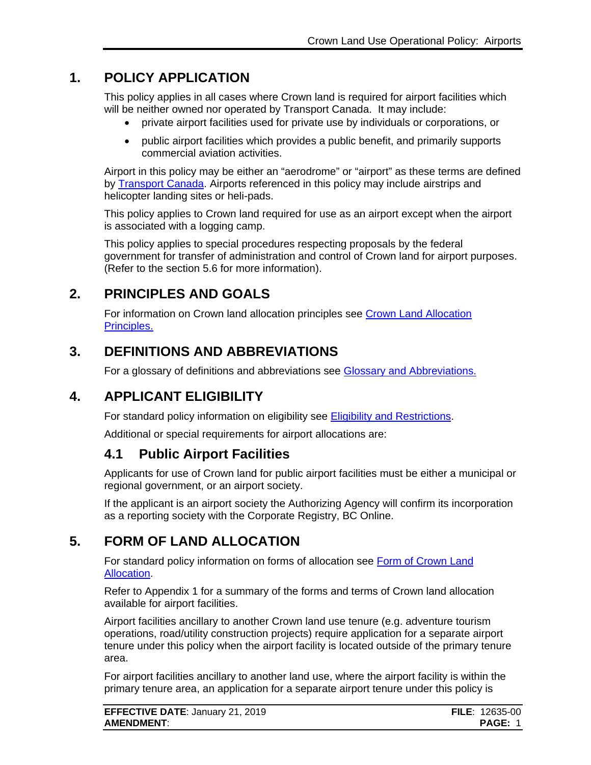# **1. POLICY APPLICATION**

<span id="page-3-0"></span>This policy applies in all cases where Crown land is required for airport facilities which will be neither owned nor operated by Transport Canada. It may include:

- private airport facilities used for private use by individuals or corporations, or
- public airport facilities which provides a public benefit, and primarily supports commercial aviation activities.

Airport in this policy may be either an "aerodrome" or "airport" as these terms are defined by [Transport Canada.](http://laws-lois.justice.gc.ca/eng/acts/A-2/page-1.html) Airports referenced in this policy may include airstrips and helicopter landing sites or heli-pads.

This policy applies to Crown land required for use as an airport except when the airport is associated with a logging camp.

This policy applies to special procedures respecting proposals by the federal government for transfer of administration and control of Crown land for airport purposes. (Refer to the section 5.6 for more information).

# **2. PRINCIPLES AND GOALS**

<span id="page-3-1"></span>For information on Crown land allocation principles see [Crown Land Allocation](https://www2.gov.bc.ca/assets/gov/farming-natural-resources-and-industry/natural-resource-use/land-water-use/crown-land/allocation_principles.pdf)  [Principles.](https://www2.gov.bc.ca/assets/gov/farming-natural-resources-and-industry/natural-resource-use/land-water-use/crown-land/allocation_principles.pdf)

## **3. DEFINITIONS AND ABBREVIATIONS**

<span id="page-3-2"></span>For a glossary of definitions and abbreviations see [Glossary and Abbreviations.](https://www2.gov.bc.ca/assets/gov/farming-natural-resources-and-industry/natural-resource-use/land-water-use/crown-land/glossary_and_abbreviations.pdf)

# **4. APPLICANT ELIGIBILITY**

<span id="page-3-3"></span>For standard policy information on eligibility see [Eligibility and Restrictions.](http://www2.gov.bc.ca/assets/gov/farming-natural-resources-and-industry/natural-resource-use/land-water-use/crown-land/eligibility.pdf)

Additional or special requirements for airport allocations are:

## <span id="page-3-4"></span>**4.1 Public Airport Facilities**

Applicants for use of Crown land for public airport facilities must be either a municipal or regional government, or an airport society.

If the applicant is an airport society the Authorizing Agency will confirm its incorporation as a reporting society with the Corporate Registry, BC Online.

## **5. FORM OF LAND ALLOCATION**

<span id="page-3-5"></span>For standard policy information on forms of allocation see [Form of Crown Land](http://www2.gov.bc.ca/assets/gov/farming-natural-resources-and-industry/natural-resource-use/land-water-use/crown-land/form_of_allocation.pdf)  [Allocation.](http://www2.gov.bc.ca/assets/gov/farming-natural-resources-and-industry/natural-resource-use/land-water-use/crown-land/form_of_allocation.pdf)

Refer to Appendix 1 for a summary of the forms and terms of Crown land allocation available for airport facilities.

Airport facilities ancillary to another Crown land use tenure (e.g. adventure tourism operations, road/utility construction projects) require application for a separate airport tenure under this policy when the airport facility is located outside of the primary tenure area.

For airport facilities ancillary to another land use, where the airport facility is within the primary tenure area, an application for a separate airport tenure under this policy is

| <b>EFFECTIVE DATE: January 21, 2019</b> | <b>FILE</b> : 12635-00 |
|-----------------------------------------|------------------------|
| <b>AMENDMENT:</b>                       | <b>PAGE: 1</b>         |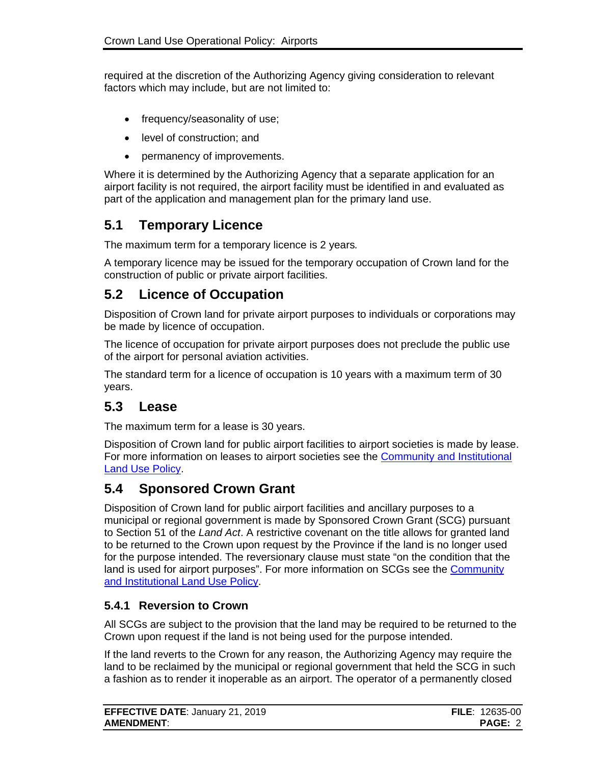required at the discretion of the Authorizing Agency giving consideration to relevant factors which may include, but are not limited to:

- frequency/seasonality of use;
- level of construction; and
- permanency of improvements.

Where it is determined by the Authorizing Agency that a separate application for an airport facility is not required, the airport facility must be identified in and evaluated as part of the application and management plan for the primary land use.

## <span id="page-4-0"></span>**5.1 Temporary Licence**

The maximum term for a temporary licence is 2 years*.* 

A temporary licence may be issued for the temporary occupation of Crown land for the construction of public or private airport facilities.

## <span id="page-4-1"></span>**5.2 Licence of Occupation**

Disposition of Crown land for private airport purposes to individuals or corporations may be made by licence of occupation.

The licence of occupation for private airport purposes does not preclude the public use of the airport for personal aviation activities.

The standard term for a licence of occupation is 10 years with a maximum term of 30 years.

## <span id="page-4-2"></span>**5.3 Lease**

The maximum term for a lease is 30 years.

Disposition of Crown land for public airport facilities to airport societies is made by lease. For more information on leases to airport societies see the [Community and Institutional](http://www2.gov.bc.ca/assets/gov/farming-natural-resources-and-industry/natural-resource-use/land-water-use/crown-land/community_inst.pdf)  [Land Use Policy.](http://www2.gov.bc.ca/assets/gov/farming-natural-resources-and-industry/natural-resource-use/land-water-use/crown-land/community_inst.pdf)

## <span id="page-4-3"></span>**5.4 Sponsored Crown Grant**

Disposition of Crown land for public airport facilities and ancillary purposes to a municipal or regional government is made by Sponsored Crown Grant (SCG) pursuant to Section 51 of the *Land Act*. A restrictive covenant on the title allows for granted land to be returned to the Crown upon request by the Province if the land is no longer used for the purpose intended. The reversionary clause must state "on the condition that the land is used for airport purposes". For more information on SCGs see the [Community](http://www2.gov.bc.ca/assets/gov/farming-natural-resources-and-industry/natural-resource-use/land-water-use/crown-land/community_inst.pdf)  [and Institutional Land Use Policy.](http://www2.gov.bc.ca/assets/gov/farming-natural-resources-and-industry/natural-resource-use/land-water-use/crown-land/community_inst.pdf)

### <span id="page-4-4"></span>**5.4.1 Reversion to Crown**

All SCGs are subject to the provision that the land may be required to be returned to the Crown upon request if the land is not being used for the purpose intended.

If the land reverts to the Crown for any reason, the Authorizing Agency may require the land to be reclaimed by the municipal or regional government that held the SCG in such a fashion as to render it inoperable as an airport. The operator of a permanently closed

| <b>EFFECTIVE DATE: January 21, 2019</b> | <b>FILE</b> : $12635-00$ |
|-----------------------------------------|--------------------------|
| <b>AMENDMENT:</b>                       | <b>PAGE: 2</b>           |
|                                         |                          |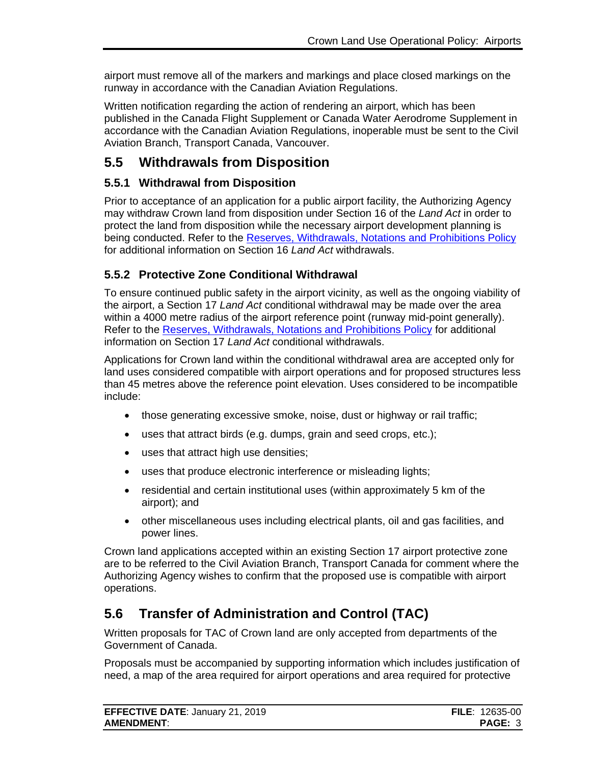airport must remove all of the markers and markings and place closed markings on the runway in accordance with the Canadian Aviation Regulations.

Written notification regarding the action of rendering an airport, which has been published in the Canada Flight Supplement or Canada Water Aerodrome Supplement in accordance with the Canadian Aviation Regulations, inoperable must be sent to the Civil Aviation Branch, Transport Canada, Vancouver.

## <span id="page-5-0"></span>**5.5 Withdrawals from Disposition**

### <span id="page-5-1"></span>**5.5.1 Withdrawal from Disposition**

Prior to acceptance of an application for a public airport facility, the Authorizing Agency may withdraw Crown land from disposition under Section 16 of the *Land Act* in order to protect the land from disposition while the necessary airport development planning is being conducted. Refer to the [Reserves, Withdrawals, Notations and Prohibitions Policy](http://www2.gov.bc.ca/assets/gov/farming-natural-resources-and-industry/natural-resource-use/land-water-use/crown-land/reserves.pdf) for additional information on Section 16 *Land Act* withdrawals.

### <span id="page-5-2"></span>**5.5.2 Protective Zone Conditional Withdrawal**

To ensure continued public safety in the airport vicinity, as well as the ongoing viability of the airport, a Section 17 *Land Act* conditional withdrawal may be made over the area within a 4000 metre radius of the airport reference point (runway mid-point generally). Refer to the [Reserves, Withdrawals, Notations and Prohibitions Policy](http://www2.gov.bc.ca/assets/gov/farming-natural-resources-and-industry/natural-resource-use/land-water-use/crown-land/reserves.pdf) for additional information on Section 17 *Land Act* conditional withdrawals.

Applications for Crown land within the conditional withdrawal area are accepted only for land uses considered compatible with airport operations and for proposed structures less than 45 metres above the reference point elevation. Uses considered to be incompatible include:

- those generating excessive smoke, noise, dust or highway or rail traffic;
- uses that attract birds (e.g. dumps, grain and seed crops, etc.);
- uses that attract high use densities;
- uses that produce electronic interference or misleading lights;
- residential and certain institutional uses (within approximately 5 km of the airport); and
- other miscellaneous uses including electrical plants, oil and gas facilities, and power lines.

Crown land applications accepted within an existing Section 17 airport protective zone are to be referred to the Civil Aviation Branch, Transport Canada for comment where the Authorizing Agency wishes to confirm that the proposed use is compatible with airport operations.

# <span id="page-5-3"></span>**5.6 Transfer of Administration and Control (TAC)**

Written proposals for TAC of Crown land are only accepted from departments of the Government of Canada.

Proposals must be accompanied by supporting information which includes justification of need, a map of the area required for airport operations and area required for protective

| <b>EFFECTIVE DATE: January 21, 2019</b> | <b>FILE</b> : $12635-00$ |
|-----------------------------------------|--------------------------|
| <b>AMENDMENT:</b>                       | <b>PAGE: 3</b>           |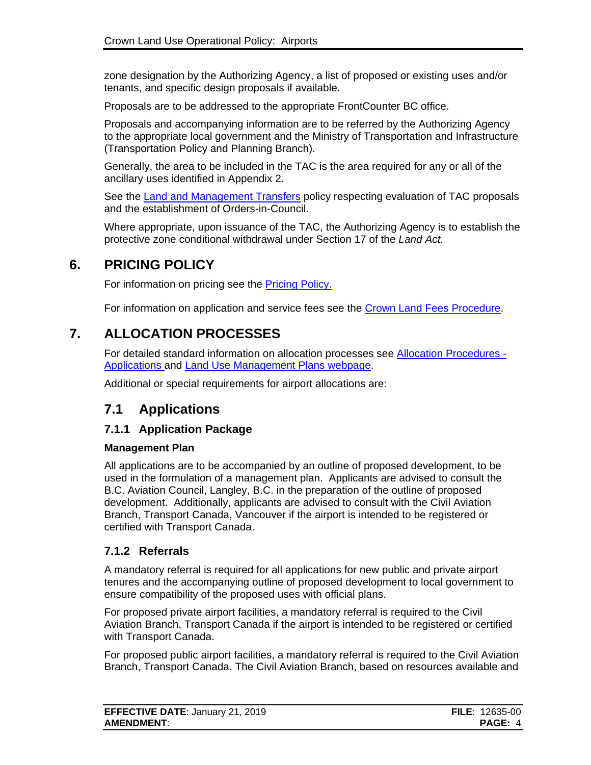zone designation by the Authorizing Agency, a list of proposed or existing uses and/or tenants, and specific design proposals if available.

Proposals are to be addressed to the appropriate FrontCounter BC office.

Proposals and accompanying information are to be referred by the Authorizing Agency to the appropriate local government and the Ministry of Transportation and Infrastructure (Transportation Policy and Planning Branch).

Generally, the area to be included in the TAC is the area required for any or all of the ancillary uses identified in Appendix 2.

See the [Land and Management Transfers](http://www2.gov.bc.ca/assets/gov/farming-natural-resources-and-industry/natural-resource-use/land-water-use/crown-land/land_transfers.pdf) policy respecting evaluation of TAC proposals and the establishment of Orders-in-Council.

Where appropriate, upon issuance of the TAC, the Authorizing Agency is to establish the protective zone conditional withdrawal under Section 17 of the *Land Act.*

## **6. PRICING POLICY**

<span id="page-6-0"></span>For information on pricing see the [Pricing Policy.](https://www2.gov.bc.ca/assets/gov/farming-natural-resources-and-industry/natural-resource-use/land-water-use/crown-land/pricing.pdf#page=54)

For information on application and service fees see the [Crown Land Fees Procedure.](https://www2.gov.bc.ca/assets/gov/farming-natural-resources-and-industry/natural-resource-use/land-water-use/crown-land/fees.pdf)

## **7. ALLOCATION PROCESSES**

<span id="page-6-1"></span>For detailed standard information on allocation processes see [Allocation Procedures -](https://www2.gov.bc.ca/assets/gov/farming-natural-resources-and-industry/natural-resource-use/land-water-use/crown-land/ap_applications.pdf) [Applications](https://www2.gov.bc.ca/assets/gov/farming-natural-resources-and-industry/natural-resource-use/land-water-use/crown-land/ap_applications.pdf) and [Land Use Management Plans webpage.](https://www2.gov.bc.ca/gov/content?id=6B42E309F6C3449BAF6A015CA228AE5D)

Additional or special requirements for airport allocations are:

## <span id="page-6-2"></span>**7.1 Applications**

#### <span id="page-6-3"></span>**7.1.1 Application Package**

#### **Management Plan**

All applications are to be accompanied by an outline of proposed development, to be used in the formulation of a management plan. Applicants are advised to consult the B.C. Aviation Council, Langley, B.C. in the preparation of the outline of proposed development. Additionally, applicants are advised to consult with the Civil Aviation Branch, Transport Canada, Vancouver if the airport is intended to be registered or certified with Transport Canada.

#### <span id="page-6-4"></span>**7.1.2 Referrals**

A mandatory referral is required for all applications for new public and private airport tenures and the accompanying outline of proposed development to local government to ensure compatibility of the proposed uses with official plans.

For proposed private airport facilities, a mandatory referral is required to the Civil Aviation Branch, Transport Canada if the airport is intended to be registered or certified with Transport Canada.

For proposed public airport facilities, a mandatory referral is required to the Civil Aviation Branch, Transport Canada. The Civil Aviation Branch, based on resources available and

| <b>EFFECTIVE DATE: January 21, 2019</b> | <b>FILE</b> : 12635-00 |
|-----------------------------------------|------------------------|
| <b>AMENDMENT:</b>                       | PAGE: 4                |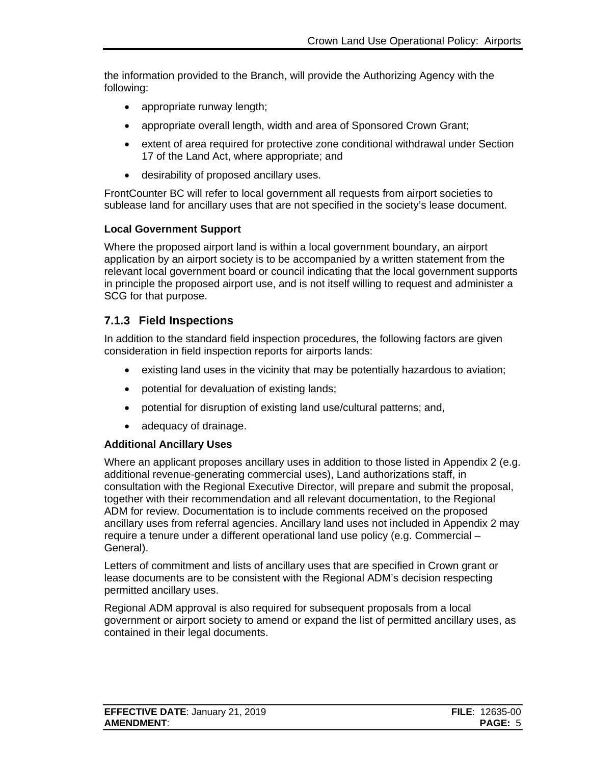the information provided to the Branch, will provide the Authorizing Agency with the following:

- appropriate runway length;
- appropriate overall length, width and area of Sponsored Crown Grant;
- extent of area required for protective zone conditional withdrawal under Section 17 of the Land Act, where appropriate; and
- desirability of proposed ancillary uses.

FrontCounter BC will refer to local government all requests from airport societies to sublease land for ancillary uses that are not specified in the society's lease document.

#### **Local Government Support**

Where the proposed airport land is within a local government boundary, an airport application by an airport society is to be accompanied by a written statement from the relevant local government board or council indicating that the local government supports in principle the proposed airport use, and is not itself willing to request and administer a SCG for that purpose.

#### <span id="page-7-0"></span>**7.1.3 Field Inspections**

In addition to the standard field inspection procedures, the following factors are given consideration in field inspection reports for airports lands:

- existing land uses in the vicinity that may be potentially hazardous to aviation;
- potential for devaluation of existing lands;
- potential for disruption of existing land use/cultural patterns; and,
- adequacy of drainage.

#### **Additional Ancillary Uses**

Where an applicant proposes ancillary uses in addition to those listed in Appendix 2 (e.g. additional revenue-generating commercial uses), Land authorizations staff, in consultation with the Regional Executive Director, will prepare and submit the proposal, together with their recommendation and all relevant documentation, to the Regional ADM for review. Documentation is to include comments received on the proposed ancillary uses from referral agencies. Ancillary land uses not included in Appendix 2 may require a tenure under a different operational land use policy (e.g. Commercial – General).

Letters of commitment and lists of ancillary uses that are specified in Crown grant or lease documents are to be consistent with the Regional ADM's decision respecting permitted ancillary uses.

Regional ADM approval is also required for subsequent proposals from a local government or airport society to amend or expand the list of permitted ancillary uses, as contained in their legal documents.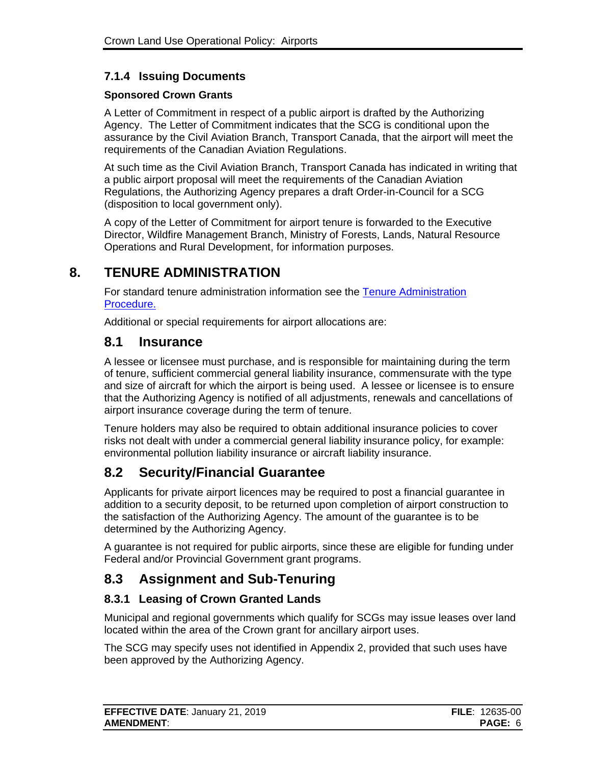### <span id="page-8-0"></span>**7.1.4 Issuing Documents**

#### **Sponsored Crown Grants**

A Letter of Commitment in respect of a public airport is drafted by the Authorizing Agency. The Letter of Commitment indicates that the SCG is conditional upon the assurance by the Civil Aviation Branch, Transport Canada, that the airport will meet the requirements of the Canadian Aviation Regulations.

At such time as the Civil Aviation Branch, Transport Canada has indicated in writing that a public airport proposal will meet the requirements of the Canadian Aviation Regulations, the Authorizing Agency prepares a draft Order-in-Council for a SCG (disposition to local government only).

A copy of the Letter of Commitment for airport tenure is forwarded to the Executive Director, Wildfire Management Branch, Ministry of Forests, Lands, Natural Resource Operations and Rural Development, for information purposes.

## **8. TENURE ADMINISTRATION**

<span id="page-8-1"></span>For standard tenure administration information see the [Tenure Administration](https://www2.gov.bc.ca/assets/gov/farming-natural-resources-and-industry/natural-resource-use/land-water-use/crown-land/ta_general.pdf)  [Procedure.](https://www2.gov.bc.ca/assets/gov/farming-natural-resources-and-industry/natural-resource-use/land-water-use/crown-land/ta_general.pdf)

Additional or special requirements for airport allocations are:

### <span id="page-8-2"></span>**8.1 Insurance**

A lessee or licensee must purchase, and is responsible for maintaining during the term of tenure, sufficient commercial general liability insurance, commensurate with the type and size of aircraft for which the airport is being used. A lessee or licensee is to ensure that the Authorizing Agency is notified of all adjustments, renewals and cancellations of airport insurance coverage during the term of tenure.

Tenure holders may also be required to obtain additional insurance policies to cover risks not dealt with under a commercial general liability insurance policy, for example: environmental pollution liability insurance or aircraft liability insurance.

## <span id="page-8-3"></span>**8.2 Security/Financial Guarantee**

Applicants for private airport licences may be required to post a financial guarantee in addition to a security deposit, to be returned upon completion of airport construction to the satisfaction of the Authorizing Agency. The amount of the guarantee is to be determined by the Authorizing Agency.

A guarantee is not required for public airports, since these are eligible for funding under Federal and/or Provincial Government grant programs.

## <span id="page-8-4"></span>**8.3 Assignment and Sub-Tenuring**

#### <span id="page-8-5"></span>**8.3.1 Leasing of Crown Granted Lands**

Municipal and regional governments which qualify for SCGs may issue leases over land located within the area of the Crown grant for ancillary airport uses.

The SCG may specify uses not identified in Appendix 2, provided that such uses have been approved by the Authorizing Agency.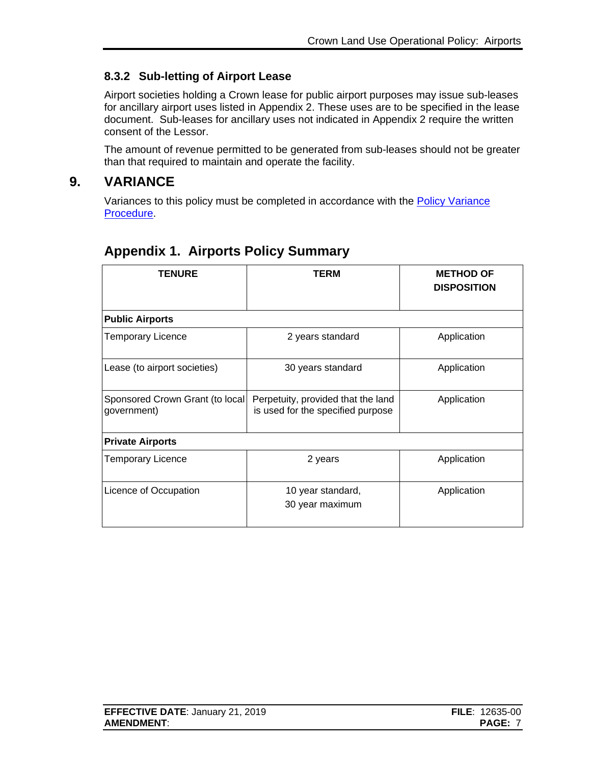### <span id="page-9-0"></span>**8.3.2 Sub-letting of Airport Lease**

Airport societies holding a Crown lease for public airport purposes may issue sub-leases for ancillary airport uses listed in Appendix 2. These uses are to be specified in the lease document. Sub-leases for ancillary uses not indicated in Appendix 2 require the written consent of the Lessor.

The amount of revenue permitted to be generated from sub-leases should not be greater than that required to maintain and operate the facility.

### **9. VARIANCE**

<span id="page-9-1"></span>Variances to this policy must be completed in accordance with the **Policy Variance** [Procedure.](http://www2.gov.bc.ca/assets/gov/farming-natural-resources-and-industry/natural-resource-use/land-water-use/crown-land/variance.pdf)

| <b>TENURE</b>                                  | TERM                                                                    | <b>METHOD OF</b><br><b>DISPOSITION</b> |  |  |
|------------------------------------------------|-------------------------------------------------------------------------|----------------------------------------|--|--|
| <b>Public Airports</b>                         |                                                                         |                                        |  |  |
| <b>Temporary Licence</b>                       | 2 years standard                                                        | Application                            |  |  |
| Lease (to airport societies)                   | 30 years standard                                                       | Application                            |  |  |
| Sponsored Crown Grant (to local<br>government) | Perpetuity, provided that the land<br>is used for the specified purpose | Application                            |  |  |
| <b>Private Airports</b>                        |                                                                         |                                        |  |  |
| <b>Temporary Licence</b>                       | 2 years                                                                 | Application                            |  |  |
| Licence of Occupation                          | 10 year standard,<br>30 year maximum                                    | Application                            |  |  |

## <span id="page-9-2"></span>**Appendix 1. Airports Policy Summary**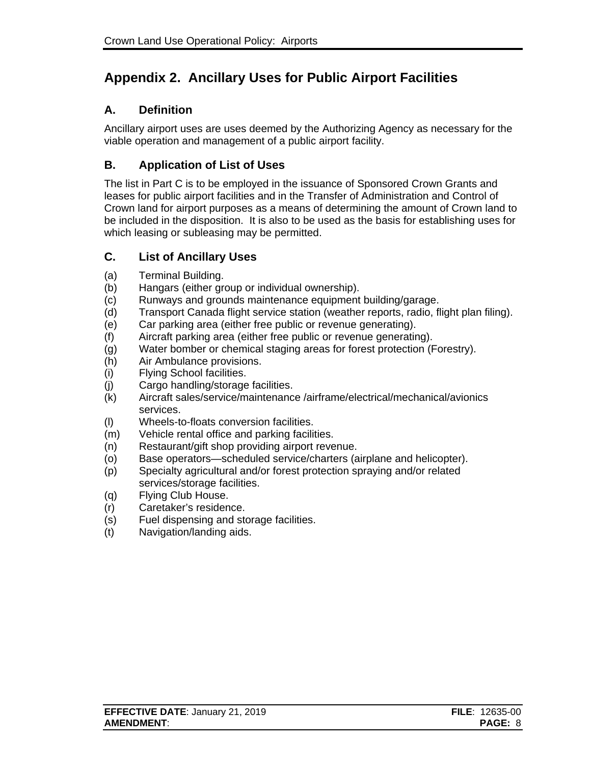## <span id="page-10-0"></span>**Appendix 2. Ancillary Uses for Public Airport Facilities**

#### **A. Definition**

Ancillary airport uses are uses deemed by the Authorizing Agency as necessary for the viable operation and management of a public airport facility.

#### **B. Application of List of Uses**

The list in Part C is to be employed in the issuance of Sponsored Crown Grants and leases for public airport facilities and in the Transfer of Administration and Control of Crown land for airport purposes as a means of determining the amount of Crown land to be included in the disposition. It is also to be used as the basis for establishing uses for which leasing or subleasing may be permitted.

#### **C. List of Ancillary Uses**

- (a) Terminal Building.
- (b) Hangars (either group or individual ownership).
- (c) Runways and grounds maintenance equipment building/garage.
- (d) Transport Canada flight service station (weather reports, radio, flight plan filing).
- (e) Car parking area (either free public or revenue generating).
- (f) Aircraft parking area (either free public or revenue generating).
- (g) Water bomber or chemical staging areas for forest protection (Forestry).
- (h) Air Ambulance provisions.
- (i) Flying School facilities.
- (j) Cargo handling/storage facilities.
- (k) Aircraft sales/service/maintenance /airframe/electrical/mechanical/avionics services.
- (l) Wheels-to-floats conversion facilities.
- (m) Vehicle rental office and parking facilities.
- (n) Restaurant/gift shop providing airport revenue.
- (o) Base operators—scheduled service/charters (airplane and helicopter).
- (p) Specialty agricultural and/or forest protection spraying and/or related services/storage facilities.
- (q) Flying Club House.
- (r) Caretaker's residence.
- (s) Fuel dispensing and storage facilities.
- (t) Navigation/landing aids.